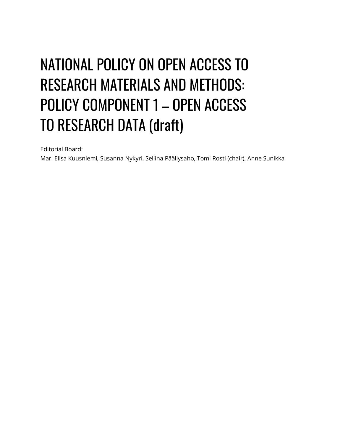# NATIONAL POLICY ON OPEN ACCESS TO **RESEARCH MATERIALS AND METHODS: POLICY COMPONENT 1 - OPEN ACCESS TO RESEARCH DATA (draft)**

Editorial Board:

Mari Elisa Kuusniemi, Susanna Nykyri, Seliina Päällysaho, Tomi Rosti (chair), Anne Sunikka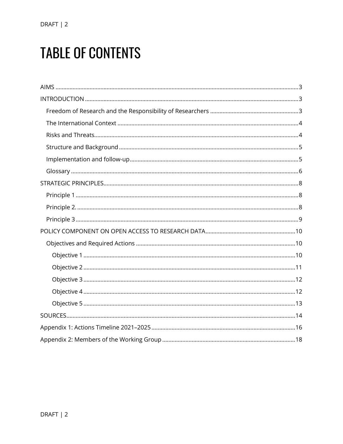## **TABLE OF CONTENTS**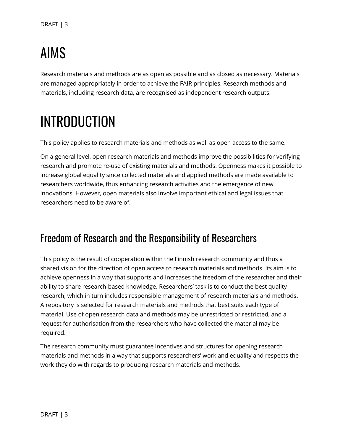# <span id="page-2-0"></span>**AIMS**

Research materials and methods are as open as possible and as closed as necessary. Materials are managed appropriately in order to achieve the FAIR principles. Research methods and materials, including research data, are recognised as independent research outputs.

# <span id="page-2-1"></span>**INTRODUCTION**

This policy applies to research materials and methods as well as open access to the same.

On a general level, open research materials and methods improve the possibilities for verifying research and promote re-use of existing materials and methods. Openness makes it possible to increase global equality since collected materials and applied methods are made available to researchers worldwide, thus enhancing research activities and the emergence of new innovations. However, open materials also involve important ethical and legal issues that researchers need to be aware of.

#### <span id="page-2-2"></span>Freedom of Research and the Responsibility of Researchers

This policy is the result of cooperation within the Finnish research community and thus a shared vision for the direction of open access to research materials and methods. Its aim is to achieve openness in a way that supports and increases the freedom of the researcher and their ability to share research-based knowledge. Researchers' task is to conduct the best quality research, which in turn includes responsible management of research materials and methods. A repository is selected for research materials and methods that best suits each type of material. Use of open research data and methods may be unrestricted or restricted, and a request for authorisation from the researchers who have collected the material may be required.

The research community must guarantee incentives and structures for opening research materials and methods in a way that supports researchers' work and equality and respects the work they do with regards to producing research materials and methods.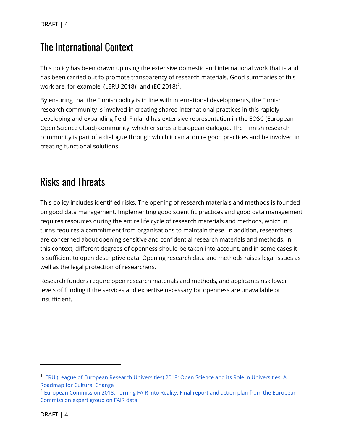### <span id="page-3-0"></span>**The International Context**

This policy has been drawn up using the extensive domestic and international work that is and has been carried out to promote transparency of research materials. Good summaries of this work are, for example, (LERU 2018) $^1$  and (EC 2018) $^2$ .

By ensuring that the Finnish policy is in line with international developments, the Finnish research community is involved in creating shared international practices in this rapidly developing and expanding field. Finland has extensive representation in the EOSC (European Open Science Cloud) community, which ensures a European dialogue. The Finnish research community is part of a dialogue through which it can acquire good practices and be involved in creating functional solutions.

### <span id="page-3-1"></span>**Risks and Threats**

This policy includes identified risks. The opening of research materials and methods is founded on good data management. Implementing good scientific practices and good data management requires resources during the entire life cycle of research materials and methods, which in turns requires a commitment from organisations to maintain these. In addition, researchers are concerned about opening sensitive and confidential research materials and methods. In this context, different degrees of openness should be taken into account, and in some cases it is sufficient to open descriptive data. Opening research data and methods raises legal issues as well as the legal protection of researchers.

Research funders require open research materials and methods, and applicants risk lower levels of funding if the services and expertise necessary for openness are unavailable or insufficient.

<sup>&</sup>lt;sup>1</sup>LERU (League of European Research Universities) 2018: Open Science and its Role in Universities: A [Roadmap for Cultural Change](https://www.leru.org/publications/open-science-and-its-role-in-universities-a-roadmap-for-cultural-change)

<sup>&</sup>lt;sup>2</sup> European Commission 2018: Turning FAIR into Reality. Final report and action plan from the European [Commission expert group on FAIR data](https://op.europa.eu/en/publication-detail/-/publication/7769a148-f1f6-11e8-9982-01aa75ed71a1/language-en/format-PDF/source-80611283)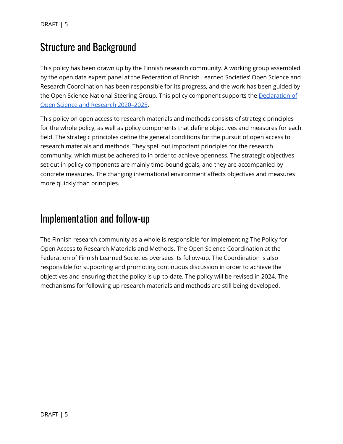DRAFT | 5

#### <span id="page-4-0"></span>**Structure and Background**

This policy has been drawn up by the Finnish research community. A working group assembled by the open data expert panel at the Federation of Finnish Learned Societies' Open Science and Research Coordination has been responsible for its progress, and the work has been guided by the Open Science National Steering Group. This policy component supports the [Declaration of](https://avointiede.fi/fi/julistus)  [Open Science and Research 2020](https://avointiede.fi/fi/julistus)–2025.

This policy on open access to research materials and methods consists of strategic principles for the whole policy, as well as policy components that define objectives and measures for each field. The strategic principles define the general conditions for the pursuit of open access to research materials and methods. They spell out important principles for the research community, which must be adhered to in order to achieve openness. The strategic objectives set out in policy components are mainly time-bound goals, and they are accompanied by concrete measures. The changing international environment affects objectives and measures more quickly than principles.

#### <span id="page-4-1"></span>Implementation and follow-up

The Finnish research community as a whole is responsible for implementing The Policy for Open Access to Research Materials and Methods. The Open Science Coordination at the Federation of Finnish Learned Societies oversees its follow-up. The Coordination is also responsible for supporting and promoting continuous discussion in order to achieve the objectives and ensuring that the policy is up-to-date. The policy will be revised in 2024. The mechanisms for following up research materials and methods are still being developed.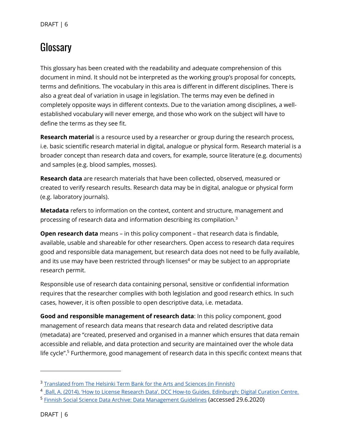DRAFT | 6

### <span id="page-5-0"></span>Glossary

This glossary has been created with the readability and adequate comprehension of this document in mind. It should not be interpreted as the working group's proposal for concepts, terms and definitions. The vocabulary in this area is different in different disciplines. There is also a great deal of variation in usage in legislation. The terms may even be defined in completely opposite ways in different contexts. Due to the variation among disciplines, a wellestablished vocabulary will never emerge, and those who work on the subject will have to define the terms as they see fit.

**Research material** is a resource used by a researcher or group during the research process, i.e. basic scientific research material in digital, analogue or physical form. Research material is a broader concept than research data and covers, for example, source literature (e.g. documents) and samples (e.g. blood samples, mosses).

**Research data** are research materials that have been collected, observed, measured or created to verify research results. Research data may be in digital, analogue or physical form (e.g. laboratory journals).

**Metadata** refers to information on the context, content and structure, management and processing of research data and information describing its compilation.<sup>3</sup>

**Open research data** means – in this policy component – that research data is findable, available, usable and shareable for other researchers. Open access to research data requires good and responsible data management, but research data does not need to be fully available, and its use may have been restricted through licenses<sup>4</sup> or may be subject to an appropriate research permit.

Responsible use of research data containing personal, sensitive or confidential information requires that the researcher complies with both legislation and good research ethics. In such cases, however, it is often possible to open descriptive data, i.e. metadata.

**Good and responsible management of research data**: In this policy component, good management of research data means that research data and related descriptive data (metadata) are "created, preserved and organised in a manner which ensures that data remain accessible and reliable, and data protection and security are maintained over the whole data life cycle". <sup>5</sup> Furthermore, good management of research data in this specific context means that

<sup>&</sup>lt;sup>3</sup> [Translated from The Helsinki Term Bank for the Arts and Sciences \(in Finnish\)](https://tieteentermipankki.fi/wiki/Nimitys:tutkimusaineiston_metadata)

<sup>&</sup>lt;sup>4</sup> [Ball, A. \(2014\). 'How to License Research Data'. DCC How](http://www.dcc.ac.uk/resources/how-guides)-to Guides. Edinburgh: Digital Curation Centre.

<sup>&</sup>lt;sup>5</sup> <u>[Finnish Social Science Data Archive: Data Management Guidelines](https://www.fsd.tuni.fi/aineistonhallinta/en/index.html)</u> (accessed 29.6.2020)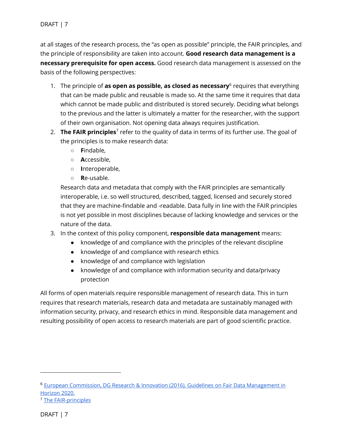at all stages of the research process, the "as open as possible" principle, the FAIR principles, and the principle of responsibility are taken into account. **Good research data management is a necessary prerequisite for open access.** Good research data management is assessed on the basis of the following perspectives:

- 1. The principle of **as open as possible, as closed as necessary**<sup>6</sup> requires that everything that can be made public and reusable is made so. At the same time it requires that data which cannot be made public and distributed is stored securely. Deciding what belongs to the previous and the latter is ultimately a matter for the researcher, with the support of their own organisation. Not opening data always requires justification.
- 2. The FAIR principles<sup>7</sup> refer to the quality of data in terms of its further use. The goal of the principles is to make research data:
	- **F**indable,
	- **A**ccessible,
	- **I**nteroperable,
	- **R**e-usable.

Research data and metadata that comply with the FAIR principles are semantically interoperable, i.e. so well structured, described, tagged, licensed and securely stored that they are machine-findable and -readable. Data fully in line with the FAIR principles is not yet possible in most disciplines because of lacking knowledge and services or the nature of the data.

- 3. In the context of this policy component, **responsible data management** means:
	- knowledge of and compliance with the principles of the relevant discipline
	- knowledge of and compliance with research ethics
	- knowledge of and compliance with legislation
	- knowledge of and compliance with information security and data/privacy protection

All forms of open materials require responsible management of research data. This in turn requires that research materials, research data and metadata are sustainably managed with information security, privacy, and research ethics in mind. Responsible data management and resulting possibility of open access to research materials are part of good scientific practice.

<sup>&</sup>lt;sup>6</sup> [European Commission, DG Research & Innovation \(2016\). Guidelines](https://ec.europa.eu/research/participants/data/ref/h2020/grants_manual/hi/oa_pilot/h2020-hi-oa-data-mgt_en.pdf) on Fair Data Management in [Horizon 2020.](https://ec.europa.eu/research/participants/data/ref/h2020/grants_manual/hi/oa_pilot/h2020-hi-oa-data-mgt_en.pdf)

<sup>7</sup> [The FAIR-principles](https://www.force11.org/fairprinciples)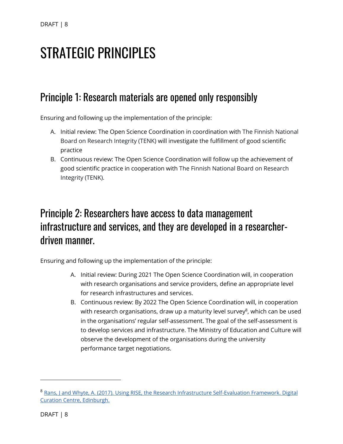## <span id="page-7-0"></span>**STRATEGIC PRINCIPLES**

#### <span id="page-7-1"></span>Principle 1: Research materials are opened only responsibly

Ensuring and following up the implementation of the principle:

- A. Initial review: The Open Science Coordination in coordination with The Finnish National Board on Research Integrity (TENK) will investigate the fulfillment of good scientific practice
- B. Continuous review: The Open Science Coordination will follow up the achievement of good scientific practice in cooperation with The Finnish National Board on Research Integrity (TENK).

### <span id="page-7-2"></span>Principle 2: Researchers have access to data management infrastructure and services, and they are developed in a researcherdriven manner.

Ensuring and following up the implementation of the principle:

- A. Initial review: During 2021 The Open Science Coordination will, in cooperation with research organisations and service providers, define an appropriate level for research infrastructures and services.
- B. Continuous review: By 2022 The Open Science Coordination will, in cooperation with research organisations, draw up a maturity level survey<sup>8</sup>, which can be used in the organisations' regular self-assessment. The goal of the self-assessment is to develop services and infrastructure. The Ministry of Education and Culture will observe the development of the organisations during the university performance target negotiations.

<sup>8</sup> Rans, J and Whyte, A. (2017). Using RISE, the Research Infrastructure Self-Evaluation Framework. Digital [Curation Centre, Edinburgh.](http://www.dcc.ac.uk/resources/how-guides)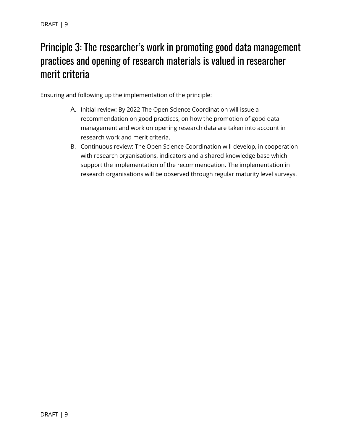### <span id="page-8-0"></span>Principle 3: The researcher's work in promoting good data management practices and opening of research materials is valued in researcher merit criteria

Ensuring and following up the implementation of the principle:

- A. Initial review: By 2022 The Open Science Coordination will issue a recommendation on good practices, on how the promotion of good data management and work on opening research data are taken into account in research work and merit criteria.
- B. Continuous review: The Open Science Coordination will develop, in cooperation with research organisations, indicators and a shared knowledge base which support the implementation of the recommendation. The implementation in research organisations will be observed through regular maturity level surveys.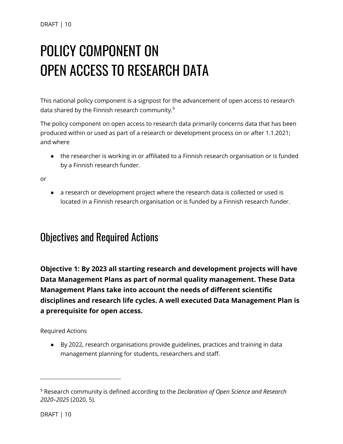# <span id="page-9-0"></span>**POLICY COMPONENT ON OPEN ACCESS TO RESEARCH DATA**

This national policy component is a signpost for the advancement of open access to research data shared by the Finnish research community.<sup>9</sup>

The policy component on open access to research data primarily concerns data that has been produced within or used as part of a research or development process on or after 1.1.2021; and where

● the researcher is working in or affiliated to a Finnish research organisation or is funded by a Finnish research funder.

or

● a research or development project where the research data is collected or used is located in a Finnish research organisation or is funded by a Finnish research funder.

#### <span id="page-9-1"></span>**Objectives and Required Actions**

<span id="page-9-2"></span>**Objective 1: By 2023 all starting research and development projects will have Data Management Plans as part of normal quality management. These Data Management Plans take into account the needs of different scientific disciplines and research life cycles. A well executed Data Management Plan is a prerequisite for open access.**

Required Actions

● By 2022, research organisations provide guidelines, practices and training in data management planning for students, researchers and staff.

<sup>9</sup> Research community is defined according to the *Declaration of Open Science and Research 2020–2025* (2020, 5).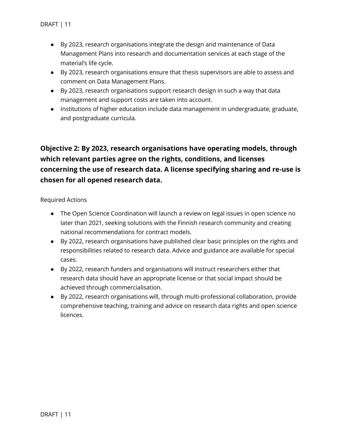- By 2023, research organisations integrate the design and maintenance of Data Management Plans into research and documentation services at each stage of the material's life cycle.
- By 2023, research organisations ensure that thesis supervisors are able to assess and comment on Data Management Plans.
- By 2023, research organisations support research design in such a way that data management and support costs are taken into account.
- Institutions of higher education include data management in undergraduate, graduate, and postgraduate curricula.

#### <span id="page-10-0"></span>**Objective 2: By 2023, research organisations have operating models, through which relevant parties agree on the rights, conditions, and licenses concerning the use of research data. A license specifying sharing and re-use is chosen for all opened research data.**

Required Actions

- The Open Science Coordination will launch a review on legal issues in open science no later than 2021, seeking solutions with the Finnish research community and creating national recommendations for contract models.
- By 2022, research organisations have published clear basic principles on the rights and responsibilities related to research data. Advice and guidance are available for special cases.
- By 2022, research funders and organisations will instruct researchers either that research data should have an appropriate license or that social impact should be achieved through commercialisation.
- By 2022, research organisations will, through multi-professional collaboration, provide comprehensive teaching, training and advice on research data rights and open science licences.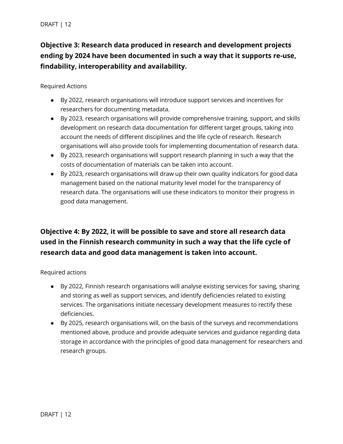#### <span id="page-11-0"></span>**Objective 3: Research data produced in research and development projects ending by 2024 have been documented in such a way that it supports re-use, findability, interoperability and availability.**

Required Actions

- By 2022, research organisations will introduce support services and incentives for researchers for documenting metadata.
- By 2023, research organisations will provide comprehensive training, support, and skills development on research data documentation for different target groups, taking into account the needs of different disciplines and the life cycle of research. Research organisations will also provide tools for implementing documentation of research data.
- By 2023, research organisations will support research planning in such a way that the costs of documentation of materials can be taken into account.
- By 2023, research organisations will draw up their own quality indicators for good data management based on the national maturity level model for the transparency of research data. The organisations will use these indicators to monitor their progress in good data management.

#### <span id="page-11-1"></span>**Objective 4: By 2022, it will be possible to save and store all research data used in the Finnish research community in such a way that the life cycle of research data and good data management is taken into account.**

Required actions

- By 2022, Finnish research organisations will analyse existing services for saving, sharing and storing as well as support services, and identify deficiencies related to existing services. The organisations initiate necessary development measures to rectify these deficiencies.
- By 2025, research organisations will, on the basis of the surveys and recommendations mentioned above, produce and provide adequate services and guidance regarding data storage in accordance with the principles of good data management for researchers and research groups.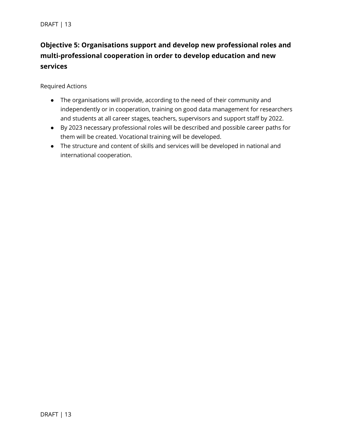#### <span id="page-12-0"></span>**Objective 5: Organisations support and develop new professional roles and multi-professional cooperation in order to develop education and new services**

Required Actions

- The organisations will provide, according to the need of their community and independently or in cooperation, training on good data management for researchers and students at all career stages, teachers, supervisors and support staff by 2022.
- By 2023 necessary professional roles will be described and possible career paths for them will be created. Vocational training will be developed.
- The structure and content of skills and services will be developed in national and international cooperation.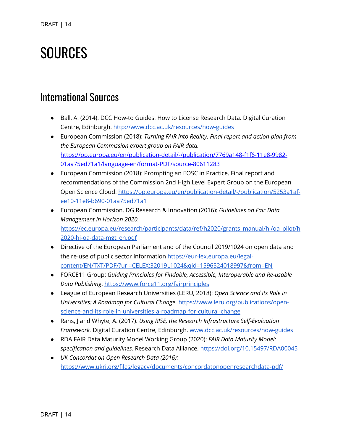## <span id="page-13-0"></span>**SOURCES**

#### **International Sources**

- Ball, A. (2014). DCC How-to Guides: How to License Research Data. Digital Curation Centre, Edinburgh.<http://www.dcc.ac.uk/resources/how-guides>
- European Commission (2018): *Turning FAIR into Reality. Final report and action plan from the European Commission expert group on FAIR data.* [https://op.europa.eu/en/publication-detail/-/publication/7769a148-f1f6-11e8-9982-](https://op.europa.eu/en/publication-detail/-/publication/7769a148-f1f6-11e8-9982-01aa75ed71a1/language-en/format-PDF/source-80611283) [01aa75ed71a1/language-en/format-PDF/source-80611283](https://op.europa.eu/en/publication-detail/-/publication/7769a148-f1f6-11e8-9982-01aa75ed71a1/language-en/format-PDF/source-80611283)
- European Commission (2018): Prompting an EOSC in Practice. Final report and recommendations of the Commission 2nd High Level Expert Group on the European Open Science Cloud. [https://op.europa.eu/en/publication-detail/-/publication/5253a1af](https://op.europa.eu/en/publication-detail/-/publication/5253a1af-ee10-11e8-b690-01aa75ed71a1)[ee10-11e8-b690-01aa75ed71a1](https://op.europa.eu/en/publication-detail/-/publication/5253a1af-ee10-11e8-b690-01aa75ed71a1)
- European Commission, DG Research & Innovation (2016): *Guidelines on Fair Data Management in Horizon 2020.* [https://ec.europa.eu/research/participants/data/ref/h2020/grants\\_manual/hi/oa\\_pilot/h](https://ec.europa.eu/research/participants/data/ref/h2020/grants_manual/hi/oa_pilot/h2020-hi-oa-data-mgt_en.pdf) [2020-hi-oa-data-mgt\\_en.pdf](https://ec.europa.eu/research/participants/data/ref/h2020/grants_manual/hi/oa_pilot/h2020-hi-oa-data-mgt_en.pdf)
- Directive of the European Parliament and of the Council 2019/1024 on open data and the re-use of public sector informatio[n](https://eur-lex.europa.eu/legal-content/FI/TXT/PDF/?uri=CELEX:32019L1024&from=EN) [https://eur-lex.europa.eu/legal](https://eur-lex.europa.eu/legal-content/EN/TXT/PDF/?uri=CELEX:32019L1024&qid=1596524018997&from=EN)[content/EN/TXT/PDF/?uri=CELEX:32019L1024&qid=1596524018997&from=EN](https://eur-lex.europa.eu/legal-content/EN/TXT/PDF/?uri=CELEX:32019L1024&qid=1596524018997&from=EN)
- FORCE11 Group: *Guiding Principles for Findable, Accessible, Interoperable and Re-usable Data Publishing*.<https://www.force11.org/fairprinciples>
- League of European Research Universities (LERU, 2018): *Open Science and its Role in Universities: A Roadmap for Cultural Change.* [https://www.leru.org/publications/open](https://www.leru.org/publications/open-science-and-its-role-in-universities-a-roadmap-for-cultural-change)[science-and-its-role-in-universities-a-roadmap-for-cultural-change](https://www.leru.org/publications/open-science-and-its-role-in-universities-a-roadmap-for-cultural-change)
- Rans, J and Whyte, A. (2017). *Using RISE, the Research Infrastructure Self-Evaluation Framework.* Digital Curation Centre, Edinburgh. [www.dcc.ac.uk/resources/how-guides](http://www.dcc.ac.uk/resources/how-guides)
- RDA FAIR Data Maturity Model Working Group (2020): *FAIR Data Maturity Model: specification and guidelines.* Research Data Alliance.<https://doi.org/10.15497/RDA00045>
- *UK Concordat on Open Research Data (2016):* <https://www.ukri.org/files/legacy/documents/concordatonopenresearchdata-pdf/>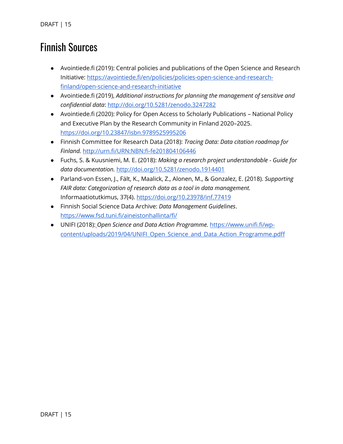### **Finnish Sources**

- Avointiede.fi (2019): Central policies and publications of the Open Science and Research Initiative: [https://avointiede.fi/en/policies/policies-open-science-and-research](https://avointiede.fi/en/policies/policies-open-science-and-research-finland/open-science-and-research-initiative)[finland/open-science-and-research-initiative](https://avointiede.fi/en/policies/policies-open-science-and-research-finland/open-science-and-research-initiative)
- Avointiede.fi (2019), *Additional instructions for planning the management of sensitive and confidential data*: <http://doi.org/10.5281/zenodo.3247282>
- Avointiede.fi (2020): Policy for Open Access to Scholarly Publications National Policy and Executive Plan by the Research Community in Finland 2020–2025. <https://doi.org/10.23847/isbn.9789525995206>
- Finnish Committee for Research Data (2018): *Tracing Data: Data citation roadmap for Finland.* <http://urn.fi/URN:NBN:fi-fe201804106446>
- Fuchs, S. & Kuusniemi, M. E. (2018): *Making a research project understandable - Guide for data documentation.* <http://doi.org/10.5281/zenodo.1914401>
- Parland-von Essen, J., Fält, K., Maalick, Z., Alonen, M., & Gonzalez, E. (2018). *Supporting FAIR data: Categorization of research data as a tool in data management.* Informaatiotutkimus, 37(4).<https://doi.org/10.23978/inf.77419>
- Finnish Social Science Data Archive: *Data Management Guidelines*. <https://www.fsd.tuni.fi/aineistonhallinta/fi/>
- UNIFI (2018)[:](https://www.unifi.fi/wp-content/uploads/2019/04/UNIFI_Avoimen_tieteen_ja_datan_toimenpideohjelma.pdf) *Open Science and Data Action Programme.* [https://www.unifi.fi/wp](https://www.unifi.fi/wp-content/uploads/2019/04/UNIFI_Open_Science_and_Data_Action_Programme.pdf)[content/uploads/2019/04/UNIFI\\_Open\\_Science\\_and\\_Data\\_Action\\_Programme.pdf](https://www.unifi.fi/wp-content/uploads/2019/04/UNIFI_Open_Science_and_Data_Action_Programme.pdf)[f](https://www.unifi.fi/wp-content/uploads/2019/04/UNIFI_Avoimen_tieteen_ja_datan_toimenpideohjelma.pdf)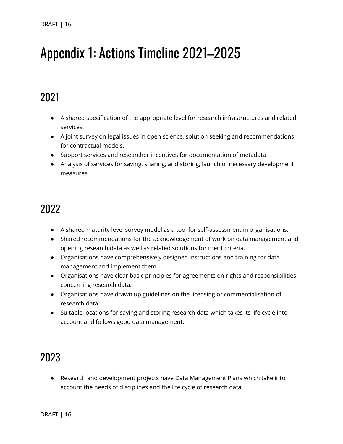## <span id="page-15-0"></span>Appendix 1: Actions Timeline 2021-2025

### 2021

- A shared specification of the appropriate level for research infrastructures and related services.
- A joint survey on legal issues in open science, solution seeking and recommendations for contractual models.
- Support services and researcher incentives for documentation of metadata
- Analysis of services for saving, sharing, and storing, launch of necessary development measures.

### 2022

- A shared maturity level survey model as a tool for self-assessment in organisations.
- Shared recommendations for the acknowledgement of work on data management and opening research data as well as related solutions for merit criteria.
- Organisations have comprehensively designed instructions and training for data management and implement them.
- Organisations have clear basic principles for agreements on rights and responsibilities concerning research data.
- Organisations have drawn up guidelines on the licensing or commercialisation of research data.
- Suitable locations for saving and storing research data which takes its life cycle into account and follows good data management.

### 2023

● Research and development projects have Data Management Plans which take into account the needs of disciplines and the life cycle of research data.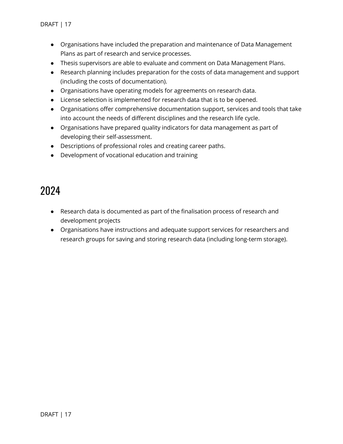- Organisations have included the preparation and maintenance of Data Management Plans as part of research and service processes.
- Thesis supervisors are able to evaluate and comment on Data Management Plans.
- Research planning includes preparation for the costs of data management and support (including the costs of documentation).
- Organisations have operating models for agreements on research data.
- License selection is implemented for research data that is to be opened.
- Organisations offer comprehensive documentation support, services and tools that take into account the needs of different disciplines and the research life cycle.
- Organisations have prepared quality indicators for data management as part of developing their self-assessment.
- Descriptions of professional roles and creating career paths.
- Development of vocational education and training

### 2024

- Research data is documented as part of the finalisation process of research and development projects
- Organisations have instructions and adequate support services for researchers and research groups for saving and storing research data (including long-term storage).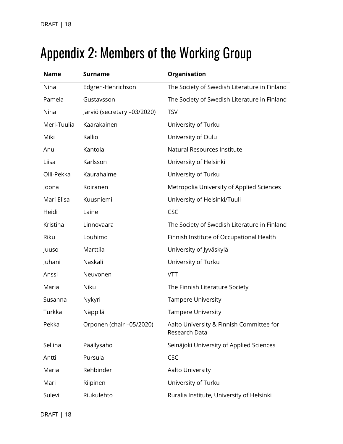## <span id="page-17-0"></span>Appendix 2: Members of the Working Group

| <b>Name</b> | <b>Surname</b>              | Organisation                                              |
|-------------|-----------------------------|-----------------------------------------------------------|
| Nina        | Edgren-Henrichson           | The Society of Swedish Literature in Finland              |
| Pamela      | Gustavsson                  | The Society of Swedish Literature in Finland              |
| Nina        | Järviö (secretary -03/2020) | <b>TSV</b>                                                |
| Meri-Tuulia | Kaarakainen                 | University of Turku                                       |
| Miki        | Kallio                      | University of Oulu                                        |
| Anu         | Kantola                     | Natural Resources Institute                               |
| Liisa       | Karlsson                    | University of Helsinki                                    |
| Olli-Pekka  | Kaurahalme                  | University of Turku                                       |
| Joona       | Koiranen                    | Metropolia University of Applied Sciences                 |
| Mari Elisa  | Kuusniemi                   | University of Helsinki/Tuuli                              |
| Heidi       | Laine                       | <b>CSC</b>                                                |
| Kristina    | Linnovaara                  | The Society of Swedish Literature in Finland              |
| Riku        | Louhimo                     | Finnish Institute of Occupational Health                  |
| Juuso       | Marttila                    | University of Jyväskylä                                   |
| Juhani      | Naskali                     | University of Turku                                       |
| Anssi       | Neuvonen                    | <b>VTT</b>                                                |
| Maria       | Niku                        | The Finnish Literature Society                            |
| Susanna     | Nykyri                      | <b>Tampere University</b>                                 |
| Turkka      | Näppilä                     | <b>Tampere University</b>                                 |
| Pekka       | Orponen (chair -05/2020)    | Aalto University & Finnish Committee for<br>Research Data |
| Seliina     | Päällysaho                  | Seinäjoki University of Applied Sciences                  |
| Antti       | Pursula                     | CSC                                                       |
| Maria       | Rehbinder                   | Aalto University                                          |
| Mari        | Riipinen                    | University of Turku                                       |
| Sulevi      | Riukulehto                  | Ruralia Institute, University of Helsinki                 |